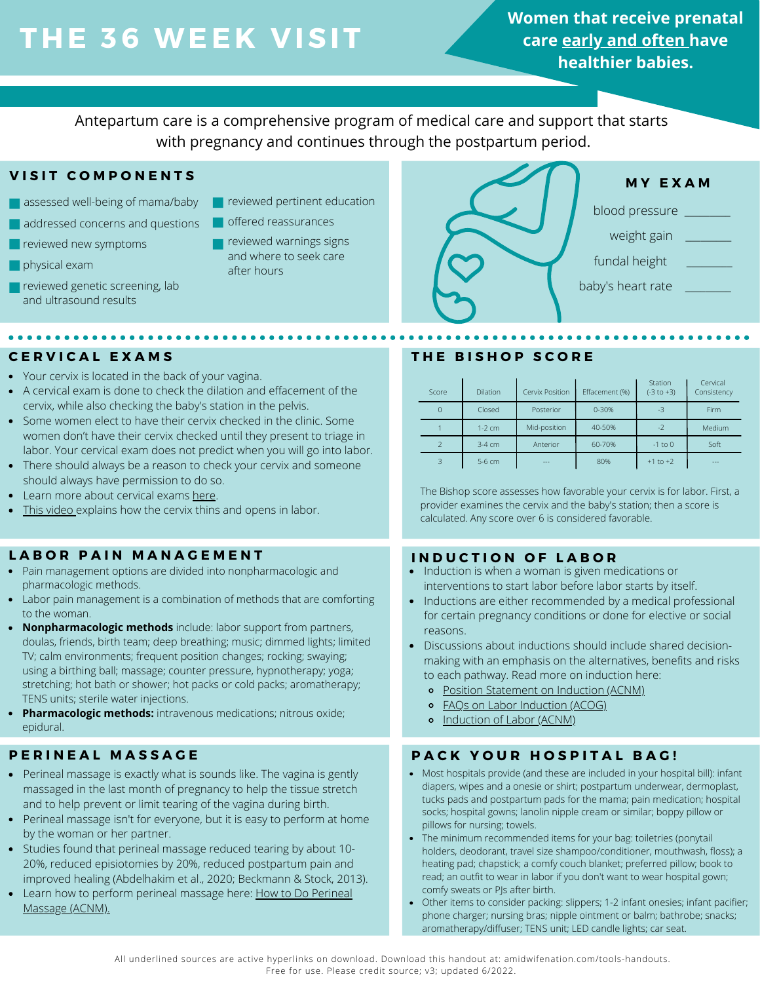# **THE 36 WEE K V ISIT**

**Women that receive prenatal care early and often have healthier babies.**

Antepartum care is a comprehensive program of medical care and support that starts with pregnancy and continues through the postpartum period.

# **V I S I T C O M P O N E N T S**

- assessed well-being of mama/baby
- addressed concerns and questions
- **r** reviewed new symptoms
- **physical exam**
- reviewed genetic screening, lab and ultrasound results

**\*\*\*\*\*\*\*\*\*\*\*\*\*\*\*\*** 

- **r** reviewed pertinent education
- offered reassurances
	- reviewed warnings signs and where to seek care after hours



- Your cervix is located in the back of your vagina.
- A cervical exam is done to check the dilation and effacement of the cervix, while also checking the baby's station in the pelvis.
- Some women elect to have their cervix checked in the clinic. Some women don't have their cervix checked until they present to triage in labor. Your cervical exam does not predict when you will go into labor.
- There should always be a reason to check your cervix and someone should always have permission to do so.
- Learn more about cervical exams [here.](https://www.aims.org.uk/information/item/vaginal-examinations-in-labour)
- [This video](https://www.youtube.com/watch?v=URyEZusnjBI&t=1s) explains how the cervix thins and opens in labor.

# **L A B O R P A I N M A N A G E M E N T**

- Pain management options are divided into nonpharmacologic and pharmacologic methods.
- Labor pain management is a combination of methods that are comforting to the woman.
- **Nonpharmacologic methods** include: labor support from partners, doulas, friends, birth team; deep breathing; music; dimmed lights; limited TV; calm environments; frequent position changes; rocking; swaying; using a birthing ball; massage; counter pressure, hypnotherapy; yoga; stretching; hot bath or shower; hot packs or cold packs; aromatherapy; TENS units; sterile water injections.
- **Pharmacologic methods:** intravenous medications; nitrous oxide; epidural.

- Perineal massage is exactly what is sounds like. The vagina is gently massaged in the last month of pregnancy to help the tissue stretch and to help prevent or limit tearing of the vagina during birth.
- Perineal massage isn't for everyone, but it is easy to perform at home by the woman or her partner.
- Studies found that perineal massage reduced tearing by about 10- 20%, reduced episiotomies by 20%, reduced postpartum pain and improved healing (Abdelhakim et al., 2020; Beckmann & Stock, 2013).
- Learn how to perform perineal massage here: [How to Do Perineal](https://scbp.ca/assets/documents/5_1_Perineal_massage_in_pregnancy.pdf) [Massage](https://scbp.ca/assets/documents/5_1_Perineal_massage_in_pregnancy.pdf) (ACNM).

# **CERVICAL EXAMS THE BISHOP SCORE**

| Score | Dilation | Cervix Position | Effacement (%) | Station<br>$(-3 to +3)$ | Cervical<br>Consistency |
|-------|----------|-----------------|----------------|-------------------------|-------------------------|
| 0     | Closed   | Posterior       | $0 - 30%$      | $-3$                    | Firm                    |
|       | $1-2$ cm | Mid-position    | 40-50%         | $-2$                    | Medium                  |
|       | $3-4$ cm | Anterior        | 60-70%         | $-1$ to $0$             | Soft                    |
|       | 5-6 cm   | ---             | 80%            | $+1$ to $+2$            | ---                     |

The Bishop score assesses how favorable your cervix is for labor. First, a provider examines the cervix and the baby's station; then a score is calculated. Any score over 6 is considered favorable.

# **I N D U C T I O N O F L A B O R**

- Induction is when a woman is given medications or interventions to start labor before labor starts by itself.
- Inductions are either recommended by a medical professional for certain pregnancy conditions or done for elective or social reasons.
- Discussions about inductions should include shared decisionmaking with an emphasis on the alternatives, benefits and risks to each pathway. Read more on induction here:
	- [Position Statement on Induction](http://www.midwife.org/ACNM/files/ACNMLibraryData/UPLOADFILENAME/000000000235/Induction%20of%20Labor%2010.10.pdf) (ACNM)
	- [FAQs on Labor Induction](https://www.acog.org/womens-health/faqs/labor-induction#:~:text=The%20Bishop%20score%20may%20be,not%20be%20ready%20for%20labor.) (ACOG)
	- o [Induction of Labor](https://onlinelibrary.wiley.com/doi/epdf/10.1111/jmwh.12649) (ACNM)

# **PERINEAL MASSAGE AND RACK YOUR HOSPITAL BAG!**

- Most hospitals provide (and these are included in your hospital bill): infant diapers, wipes and a onesie or shirt; postpartum underwear, dermoplast, tucks pads and postpartum pads for the mama; pain medication; hospital socks; hospital gowns; lanolin nipple cream or similar; boppy pillow or pillows for nursing; towels.
- The minimum recommended items for your bag: toiletries (ponytail holders, deodorant, travel size shampoo/conditioner, mouthwash, floss); a heating pad; chapstick; a comfy couch blanket; preferred pillow; book to read; an outfit to wear in labor if you don't want to wear hospital gown; comfy sweats or PJs after birth.
- Other items to consider packing: slippers; 1-2 infant onesies; infant pacifier; phone charger; nursing bras; nipple ointment or balm; bathrobe; snacks; aromatherapy/diffuser; TENS unit; LED candle lights; car seat.